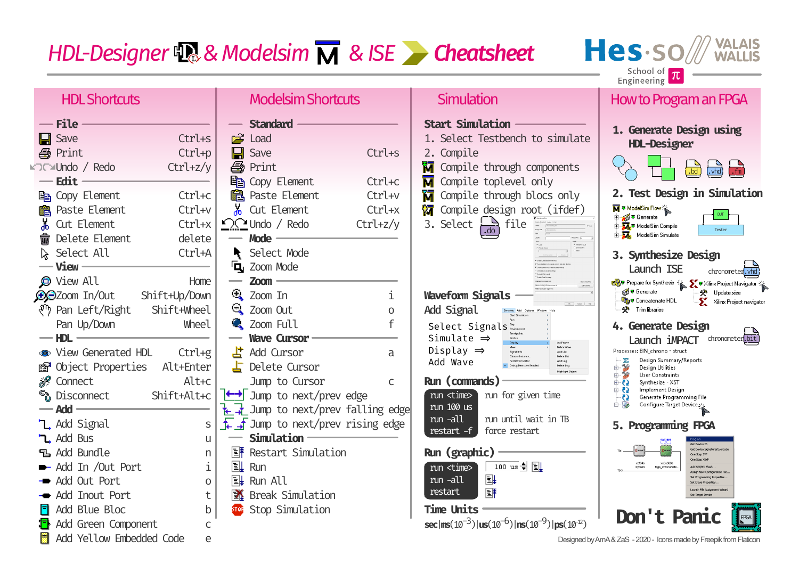Hes.so **VALAIS<br>WALLIS** School of  $\pi$ <br>Engineering

| <b>HDL Shortcuts</b>                                                                                                                        | <b>Modelsim Shortcuts</b>                                                                                                                | Simulation                                                                                                                                                                                                                                                  | <b>How to Program an FPGA</b>                                                                                                                                                                                          |
|---------------------------------------------------------------------------------------------------------------------------------------------|------------------------------------------------------------------------------------------------------------------------------------------|-------------------------------------------------------------------------------------------------------------------------------------------------------------------------------------------------------------------------------------------------------------|------------------------------------------------------------------------------------------------------------------------------------------------------------------------------------------------------------------------|
| — File<br>Ctrl+s<br>$\blacksquare$ Save<br><b>4</b> Print<br>Ctrl+p<br><b>MOC</b> ™Undo / Redo<br>$Ctrl + z/y$                              | <b>Standard</b><br>$\mathbb{R}^n$<br>Load<br>Save<br>Ctrl+s<br>Н<br>噕<br>Print                                                           | <b>Start Simulation</b><br>1. Select Testbench to simulate<br>2. Compile<br>ĩТ<br>Compile through components                                                                                                                                                | 1. Generate Design using<br><b>HDL-Designer</b><br>$\frac{1}{\text{L}}$<br>.bd                                                                                                                                         |
| — Edit<br>la Copy Element<br>Ctrl+c<br>Paste Element<br>Ctrl+v<br>當                                                                         | <b>自 Copy Element</b><br>Ctrl+c<br><b>B</b> Paste Element<br>Ctrl+v<br>Cut Element<br>Ctrl+x                                             | П<br>Compile toplevel only<br>ជ<br>Compile through blocs only<br>٧Т<br>Compile design root (ifdef)                                                                                                                                                          | 2. Test Design in Simulation<br>M & ModelSim Flow<br>DT<br>- अंत्री <del>उ</del> Generate                                                                                                                              |
| Ж.<br>Ctrl+x<br>Cut Element<br>Delete Element<br>delete<br>m<br>Select All<br>Ctrl+A<br>— View                                              | $\sum$ Undo / Redo<br>$Ctrl + z/y$<br>Mode -<br>$\overline{\phantom{a}}$<br>Select Mode<br>Zoom Mode<br>'Q,                              | 3. Select $\frac{1}{1.00}$ file                                                                                                                                                                                                                             | - प्रा <sub>द</sub> ङ ModelSim Compile<br>Ė<br>Tester<br><b>E</b> ModelSim Simulate<br>3. Synthesize Design<br>Launch ISE<br>chronometer.vhd                                                                           |
| <b>O</b> View All<br>Home<br><b>O</b> CZoom In/Out<br>Shift+Up/Down<br>√ <sup>n</sup> Pan Left/Right<br>Shift+Wheel<br>Pan Up/Down<br>Wheel | <b>Zoom</b><br>$\mathbb{R}$ Zoom In<br>i.<br><b>रि</b> Zoom Out<br>$\Omega$<br><b>Q</b> Zoom Full                                        | <b>Boose Coulfie</b><br>$_{\rm L2\,GHz}$<br><b>Waveform Signals</b><br>$-0$ and $-$ He<br>Add Signal<br>Select Signals                                                                                                                                      | ∰ Generate<br>※ Update.xise<br>Bave Concatenate HDL<br>Xilinx Project navigator<br><b>人</b> Trim libraries<br>4. Generate Design                                                                                       |
| $-$ HDL<br>• View Generated HDL<br>$Ctrl+g$<br><b><i>S</i></b> Object Properties<br>Alt+Enter<br><i>▒</i> Connect<br>Alt+c                  | <b>Wave Cursor</b><br>밥<br>Add Cursor<br>a<br>$\overline{\mathsf{L}}$ Delete Cursor<br>Jump to Cursor<br>$\mathsf{C}$                    | Simulate $\Rightarrow$<br>Add Wave<br>Delete Ways<br>Display $\Rightarrow$<br>Signal Info<br>Add List<br>Choose Instance<br>Delete List<br>Add Wave<br>Restart Simulator<br>Add Log<br>Delete Log<br>Debug Detective En<br>Highlight Obje<br>Run (commands) | chronometer.bit<br>Launch <b>iMPACT</b><br>Processes: EIN_chrono - struct<br>Design Summary/Reports<br>Σ<br>S<br>由<br>Design Utilities<br>电子<br>User Constraints<br>⊕ 0<br>Synthesize - XST<br>⊕ ⊙<br>Implement Design |
| Shift+Alt+c<br><sup>ද</sup> ී Disconnect<br>— Add<br>L Add Signal<br><b>L</b> , Add Bus                                                     | ← Jump to next/prev edge<br>Jump to next/prev falling edge<br>₦<br>$\frac{1}{2}$ Jump to next/prev rising edge<br>S<br>Simulation ·<br>U | run <time><br/>run for given time<br/>run 100 us<br/>run until wait in TB<br/>run -all<br/>restart <math>-f</math><br/>force restart</time>                                                                                                                 | Ø<br>Generate Programming File<br>Ėŀ<br>Configure Target Device 212<br><b>Programming FPGA</b>                                                                                                                         |
| <b>The Add Bundle</b><br>Add In /Out Port<br>- Add Out Port<br>Add Inout Port                                                               | 旧用<br>Restart Simulation<br>n<br>i<br><b>E</b><br>Run<br>$\boxed{\exists}$ Run All<br>$\Omega$<br><b>译</b> Break Simulation<br>t         | Run (graphic)<br>100 us 이 티<br>run <time><br/><math>\boxplus \downarrow</math><br/>run -all<br/>匪<br/>restart</time>                                                                                                                                        | Get Davine Sinnah<br>One Shep SVP<br>One Step XSV<br>xc3s500e<br>Add SPI/RPI Flad<br>tpgs_chronom<br>Set Programming Proper<br>Set Erase Properties<br>Launch File Assignment Wizard<br>Set Target Device              |
| Add Blue Bloc<br>Add Green Component<br>Add Yellow Embedded Code                                                                            | Stop Simulation<br>b<br>STOR<br>C<br>e                                                                                                   | <b>Time Units</b><br>$sec[ms(10^{-3})]$ $us(10^{-6})$ $ ns(10^{-9}) $ $ps(10^{-2})$                                                                                                                                                                         | Don't Panic<br>Designed by AmA & ZaS - 2020 - Icons made by Freepik from Flaticon                                                                                                                                      |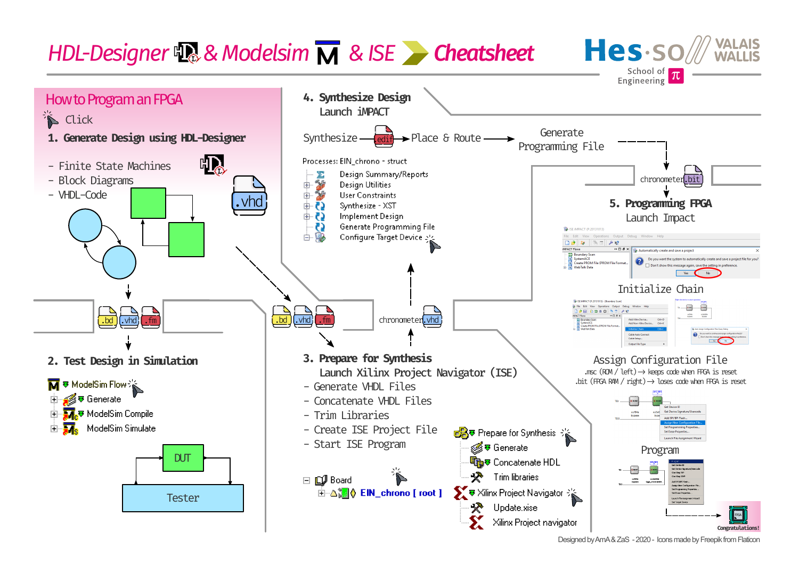



Designed by AmA & ZaS - 2020 - Icons made by Freepik from Flaticon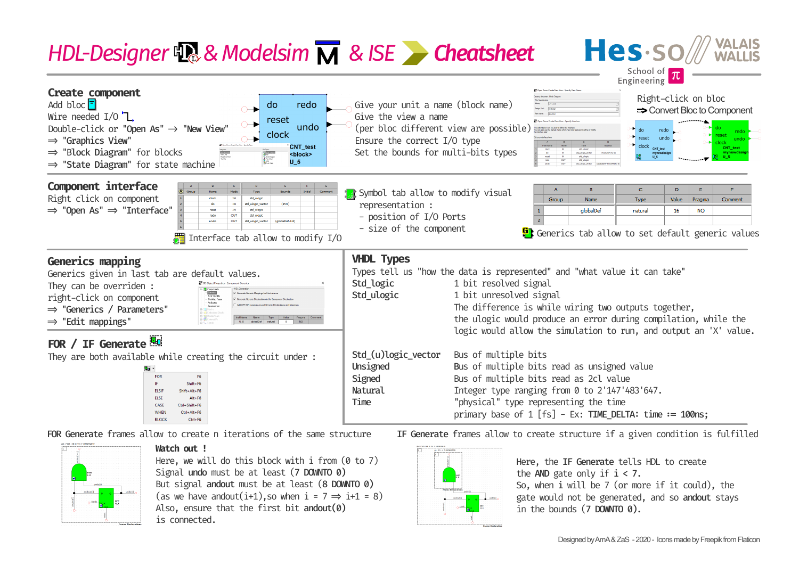### Hes-so School of



FOR Generate frames allow to create n iterations of the same structure



**Watch out !**

Here, we will do this block with  $i$  from (0 to 7) Signal undo must be at least (7 DOWNTO 0) But signal andout must be at least (8 DOWNTO 0) (as we have andout(i+1), so when  $i = 7 \Rightarrow i+1 = 8$ ) Also, ensure that the first bit andout(0) is connected.



IF Generate frames allow to create structure if a given condition is fulfilled

Here, the IF Generate tells HDL to create the AND gate only if  $i < 7$ . So, when i will be 7 (or more if it could), the gate would not be generated, and so andout stays in the bounds (7 DOWNTO 0).